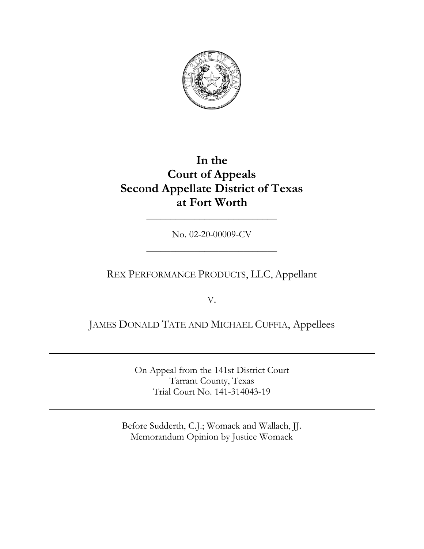

# **In the Court of Appeals Second Appellate District of Texas at Fort Worth**

No. 02-20-00009-CV

\_\_\_\_\_\_\_\_\_\_\_\_\_\_\_\_\_\_\_\_\_\_\_\_\_\_\_

\_\_\_\_\_\_\_\_\_\_\_\_\_\_\_\_\_\_\_\_\_\_\_\_\_\_\_

## REX PERFORMANCE PRODUCTS, LLC, Appellant

V.

## JAMES DONALD TATE AND MICHAEL CUFFIA, Appellees

On Appeal from the 141st District Court Tarrant County, Texas Trial Court No. 141-314043-19

Before Sudderth, C.J.; Womack and Wallach, JJ. Memorandum Opinion by Justice Womack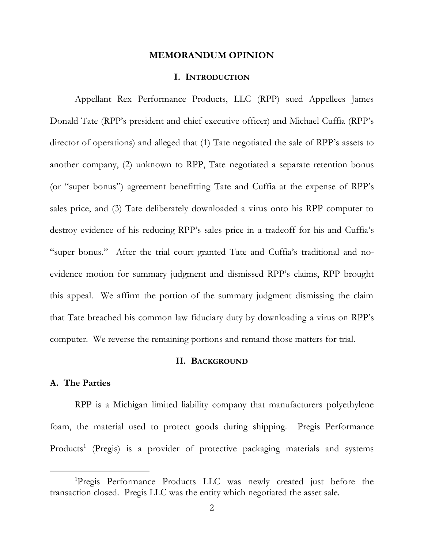## **MEMORANDUM OPINION**

#### **I. INTRODUCTION**

Appellant Rex Performance Products, LLC (RPP) sued Appellees James Donald Tate (RPP's president and chief executive officer) and Michael Cuffia (RPP's director of operations) and alleged that (1) Tate negotiated the sale of RPP's assets to another company, (2) unknown to RPP, Tate negotiated a separate retention bonus (or "super bonus") agreement benefitting Tate and Cuffia at the expense of RPP's sales price, and (3) Tate deliberately downloaded a virus onto his RPP computer to destroy evidence of his reducing RPP's sales price in a tradeoff for his and Cuffia's "super bonus." After the trial court granted Tate and Cuffia's traditional and noevidence motion for summary judgment and dismissed RPP's claims, RPP brought this appeal. We affirm the portion of the summary judgment dismissing the claim that Tate breached his common law fiduciary duty by downloading a virus on RPP's computer. We reverse the remaining portions and remand those matters for trial.

## **II. BACKGROUND**

## **A. The Parties**

RPP is a Michigan limited liability company that manufacturers polyethylene foam, the material used to protect goods during shipping. Pregis Performance Products<sup>1</sup> (Pregis) is a provider of protective packaging materials and systems

<sup>1</sup>Pregis Performance Products LLC was newly created just before the transaction closed. Pregis LLC was the entity which negotiated the asset sale.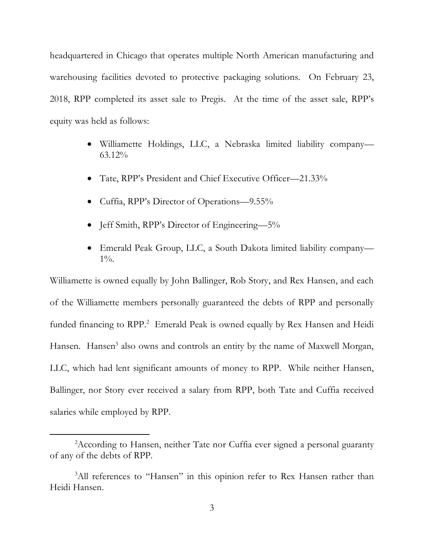headquartered in Chicago that operates multiple North American manufacturing and warehousing facilities devoted to protective packaging solutions. On February 23, 2018, RPP completed its asset sale to Pregis. At the time of the asset sale, RPP's equity was held as follows:

- Williamette Holdings, LLC, a Nebraska limited liability company— 63.12%
- Tate, RPP's President and Chief Executive Officer—21.33%
- Cuffia, RPP's Director of Operations—9.55%
- Jeff Smith, RPP's Director of Engineering—5%
- Emerald Peak Group, LLC, a South Dakota limited liability company—  $1\%$ .

Williamette is owned equally by John Ballinger, Rob Story, and Rex Hansen, and each of the Williamette members personally guaranteed the debts of RPP and personally funded financing to RPP. 2 Emerald Peak is owned equally by Rex Hansen and Heidi Hansen. Hansen<sup>3</sup> also owns and controls an entity by the name of Maxwell Morgan, LLC, which had lent significant amounts of money to RPP. While neither Hansen, Ballinger, nor Story ever received a salary from RPP, both Tate and Cuffia received salaries while employed by RPP.

<sup>&</sup>lt;sup>2</sup> According to Hansen, neither Tate nor Cuffia ever signed a personal guaranty of any of the debts of RPP.

<sup>&</sup>lt;sup>3</sup>All references to "Hansen" in this opinion refer to Rex Hansen rather than Heidi Hansen.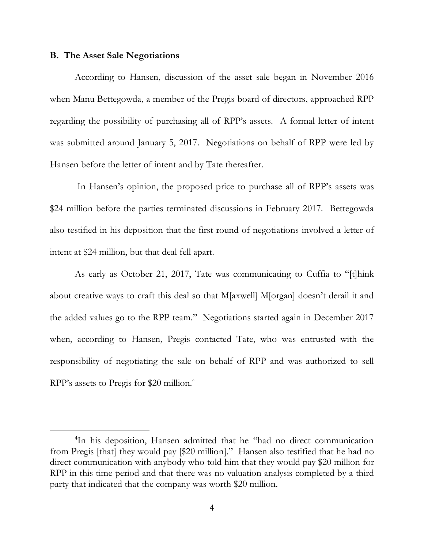## **B. The Asset Sale Negotiations**

According to Hansen, discussion of the asset sale began in November 2016 when Manu Bettegowda, a member of the Pregis board of directors, approached RPP regarding the possibility of purchasing all of RPP's assets. A formal letter of intent was submitted around January 5, 2017. Negotiations on behalf of RPP were led by Hansen before the letter of intent and by Tate thereafter.

In Hansen's opinion, the proposed price to purchase all of RPP's assets was \$24 million before the parties terminated discussions in February 2017. Bettegowda also testified in his deposition that the first round of negotiations involved a letter of intent at \$24 million, but that deal fell apart.

As early as October 21, 2017, Tate was communicating to Cuffia to "[t]hink about creative ways to craft this deal so that M[axwell] M[organ] doesn't derail it and the added values go to the RPP team." Negotiations started again in December 2017 when, according to Hansen, Pregis contacted Tate, who was entrusted with the responsibility of negotiating the sale on behalf of RPP and was authorized to sell RPP's assets to Pregis for \$20 million.<sup>4</sup>

<sup>4</sup> In his deposition, Hansen admitted that he "had no direct communication from Pregis [that] they would pay [\$20 million]." Hansen also testified that he had no direct communication with anybody who told him that they would pay \$20 million for RPP in this time period and that there was no valuation analysis completed by a third party that indicated that the company was worth \$20 million.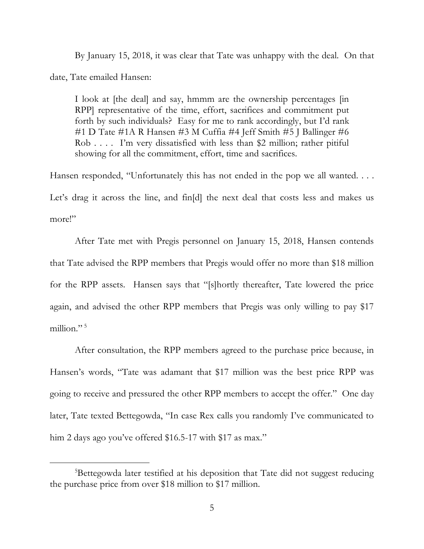By January 15, 2018, it was clear that Tate was unhappy with the deal. On that date, Tate emailed Hansen:

I look at [the deal] and say, hmmm are the ownership percentages [in RPP] representative of the time, effort, sacrifices and commitment put forth by such individuals? Easy for me to rank accordingly, but I'd rank #1 D Tate #1A R Hansen #3 M Cuffia #4 Jeff Smith #5 J Ballinger #6 Rob . . . . I'm very dissatisfied with less than \$2 million; rather pitiful showing for all the commitment, effort, time and sacrifices.

Hansen responded, "Unfortunately this has not ended in the pop we all wanted. . . . Let's drag it across the line, and fin[d] the next deal that costs less and makes us more!"

After Tate met with Pregis personnel on January 15, 2018, Hansen contends that Tate advised the RPP members that Pregis would offer no more than \$18 million for the RPP assets. Hansen says that "[s]hortly thereafter, Tate lowered the price again, and advised the other RPP members that Pregis was only willing to pay \$17 million." 5

After consultation, the RPP members agreed to the purchase price because, in Hansen's words, "Tate was adamant that \$17 million was the best price RPP was going to receive and pressured the other RPP members to accept the offer." One day later, Tate texted Bettegowda, "In case Rex calls you randomly I've communicated to him 2 days ago you've offered \$16.5-17 with \$17 as max."

<sup>&</sup>lt;sup>5</sup>Bettegowda later testified at his deposition that Tate did not suggest reducing the purchase price from over \$18 million to \$17 million.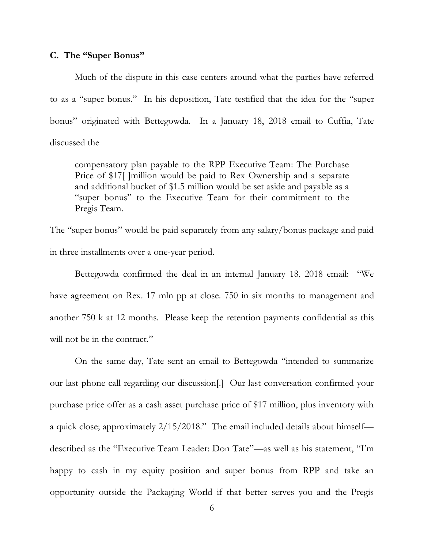## **C. The "Super Bonus"**

Much of the dispute in this case centers around what the parties have referred to as a "super bonus." In his deposition, Tate testified that the idea for the "super bonus" originated with Bettegowda. In a January 18, 2018 email to Cuffia, Tate discussed the

compensatory plan payable to the RPP Executive Team: The Purchase Price of \$17<sup>[1</sup>]million would be paid to Rex Ownership and a separate and additional bucket of \$1.5 million would be set aside and payable as a "super bonus" to the Executive Team for their commitment to the Pregis Team.

The "super bonus" would be paid separately from any salary/bonus package and paid in three installments over a one-year period.

Bettegowda confirmed the deal in an internal January 18, 2018 email: "We have agreement on Rex. 17 mln pp at close. 750 in six months to management and another 750 k at 12 months. Please keep the retention payments confidential as this will not be in the contract."

On the same day, Tate sent an email to Bettegowda "intended to summarize our last phone call regarding our discussion[.] Our last conversation confirmed your purchase price offer as a cash asset purchase price of \$17 million, plus inventory with a quick close; approximately 2/15/2018." The email included details about himself described as the "Executive Team Leader: Don Tate"—as well as his statement, "I'm happy to cash in my equity position and super bonus from RPP and take an opportunity outside the Packaging World if that better serves you and the Pregis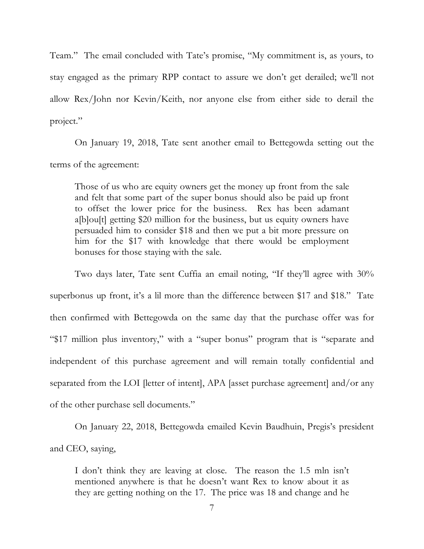Team." The email concluded with Tate's promise, "My commitment is, as yours, to stay engaged as the primary RPP contact to assure we don't get derailed; we'll not allow Rex/John nor Kevin/Keith, nor anyone else from either side to derail the project."

On January 19, 2018, Tate sent another email to Bettegowda setting out the terms of the agreement:

Those of us who are equity owners get the money up front from the sale and felt that some part of the super bonus should also be paid up front to offset the lower price for the business. Rex has been adamant a[b]ou[t] getting \$20 million for the business, but us equity owners have persuaded him to consider \$18 and then we put a bit more pressure on him for the \$17 with knowledge that there would be employment bonuses for those staying with the sale.

Two days later, Tate sent Cuffia an email noting, "If they'll agree with 30% superbonus up front, it's a lil more than the difference between \$17 and \$18." Tate then confirmed with Bettegowda on the same day that the purchase offer was for "\$17 million plus inventory," with a "super bonus" program that is "separate and independent of this purchase agreement and will remain totally confidential and separated from the LOI [letter of intent], APA [asset purchase agreement] and/or any of the other purchase sell documents."

On January 22, 2018, Bettegowda emailed Kevin Baudhuin, Pregis's president and CEO, saying,

I don't think they are leaving at close. The reason the 1.5 mln isn't mentioned anywhere is that he doesn't want Rex to know about it as they are getting nothing on the 17. The price was 18 and change and he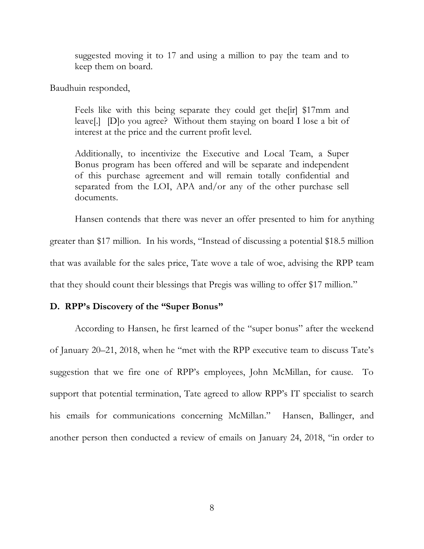suggested moving it to 17 and using a million to pay the team and to keep them on board.

Baudhuin responded,

Feels like with this being separate they could get the[ir] \$17mm and leave[.] [D]o you agree? Without them staying on board I lose a bit of interest at the price and the current profit level.

Additionally, to incentivize the Executive and Local Team, a Super Bonus program has been offered and will be separate and independent of this purchase agreement and will remain totally confidential and separated from the LOI, APA and/or any of the other purchase sell documents.

Hansen contends that there was never an offer presented to him for anything greater than \$17 million. In his words, "Instead of discussing a potential \$18.5 million that was available for the sales price, Tate wove a tale of woe, advising the RPP team that they should count their blessings that Pregis was willing to offer \$17 million."

## **D. RPP's Discovery of the "Super Bonus"**

According to Hansen, he first learned of the "super bonus" after the weekend of January 20–21, 2018, when he "met with the RPP executive team to discuss Tate's suggestion that we fire one of RPP's employees, John McMillan, for cause. To support that potential termination, Tate agreed to allow RPP's IT specialist to search his emails for communications concerning McMillan." Hansen, Ballinger, and another person then conducted a review of emails on January 24, 2018, "in order to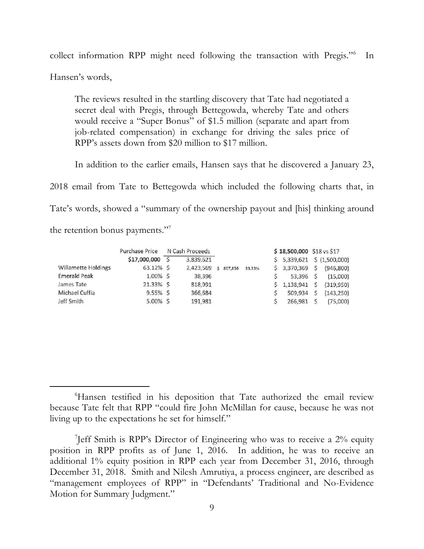collect information RPP might need following the transaction with Pregis." 6 In Hansen's words,

The reviews resulted in the startling discovery that Tate had negotiated a secret deal with Pregis, through Bettegowda, whereby Tate and others would receive a "Super Bonus" of \$1.5 million (separate and apart from job-related compensation) in exchange for driving the sales price of RPP's assets down from \$20 million to \$17 million.

In addition to the earlier emails, Hansen says that he discovered a January 23,

2018 email from Tate to Bettegowda which included the following charts that, in Tate's words, showed a "summary of the ownership payout and [his] thinking around the retention bonus payments."<sup>7</sup>

|                     | <b>Purchase Price</b> | N Cash Proceeds |           |              |         |        | \$18,500,000 \$18 vs \$17 |               |            |  |
|---------------------|-----------------------|-----------------|-----------|--------------|---------|--------|---------------------------|---------------|------------|--|
|                     | \$17,000,000          |                 | 3,839,621 |              |         |        | \$5,339,621               | \$(1,500,000) |            |  |
| Willamette Holdings | 63.12% \$             |                 | 2,423,569 | $\mathsf{S}$ | 807,856 | 33.33% | \$3,370,369               |               | (946, 800) |  |
| <b>Emerald Peak</b> | $1.00\%$ \$           |                 | 38,396    |              |         |        | 53.396                    |               | (15,000)   |  |
| James Tate          | 21.33% \$             |                 | 818.991   |              |         |        | 1,138,941                 |               | (319,950)  |  |
| Michael Cuffia      | $9.55\%$ \$           |                 | 366,684   |              |         |        | 509,934                   |               | (143, 250) |  |
| Jeff Smith          | $5.00\%$ \$           |                 | 191,981   |              |         |        | 266,981                   |               | (75,000)   |  |

<sup>&</sup>lt;sup>6</sup>Hansen testified in his deposition that Tate authorized the email review because Tate felt that RPP "could fire John McMillan for cause, because he was not living up to the expectations he set for himself."

<sup>7</sup> Jeff Smith is RPP's Director of Engineering who was to receive a 2% equity position in RPP profits as of June 1, 2016. In addition, he was to receive an additional 1% equity position in RPP each year from December 31, 2016, through December 31, 2018. Smith and Nilesh Amrutiya, a process engineer, are described as "management employees of RPP" in "Defendants' Traditional and No-Evidence Motion for Summary Judgment."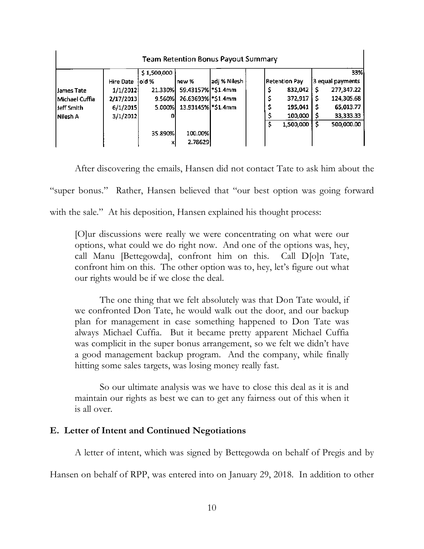| <b>Team Retention Bonus Payout Summary</b> |           |             |                   |              |  |                      |    |                  |  |  |
|--------------------------------------------|-----------|-------------|-------------------|--------------|--|----------------------|----|------------------|--|--|
|                                            |           | \$1,500,000 |                   |              |  |                      |    | 33% k            |  |  |
|                                            | Hire Date | loid %      | lnew %            | adj % Nilesh |  | <b>Retention Pay</b> |    | 3 equal payments |  |  |
| James Tate                                 | 1/1/2012  | 21.330%     | 59.43157% 51.4mm  |              |  | 832,042              | Ś  | 277,347.22       |  |  |
| Michael Cuffia                             | 2/17/2013 | 9.560%      | 26.63693% \$1.4mm |              |  | 372,917              | s  | 124,305.68       |  |  |
| l Jeff Smith                               | 6/1/2015  | 5.000%      | 13.93145% 51.4mm  |              |  | 195,041              | -5 | 65,013.77        |  |  |
| Nilesh A                                   | 3/1/2012  |             |                   |              |  | 100,000              |    | 33,333.33        |  |  |
|                                            |           |             |                   |              |  | 1.500,000            | \$ | 500,000.00       |  |  |
|                                            |           | 35.890%     | 100.00%           |              |  |                      |    |                  |  |  |
|                                            |           | x           | 2.78629           |              |  |                      |    |                  |  |  |

After discovering the emails, Hansen did not contact Tate to ask him about the "super bonus." Rather, Hansen believed that "our best option was going forward with the sale." At his deposition, Hansen explained his thought process:

[O]ur discussions were really we were concentrating on what were our options, what could we do right now. And one of the options was, hey, call Manu [Bettegowda], confront him on this. Call D[o]n Tate, confront him on this. The other option was to, hey, let's figure out what our rights would be if we close the deal.

The one thing that we felt absolutely was that Don Tate would, if we confronted Don Tate, he would walk out the door, and our backup plan for management in case something happened to Don Tate was always Michael Cuffia. But it became pretty apparent Michael Cuffia was complicit in the super bonus arrangement, so we felt we didn't have a good management backup program. And the company, while finally hitting some sales targets, was losing money really fast.

So our ultimate analysis was we have to close this deal as it is and maintain our rights as best we can to get any fairness out of this when it is all over.

## **E. Letter of Intent and Continued Negotiations**

A letter of intent, which was signed by Bettegowda on behalf of Pregis and by

Hansen on behalf of RPP, was entered into on January 29, 2018. In addition to other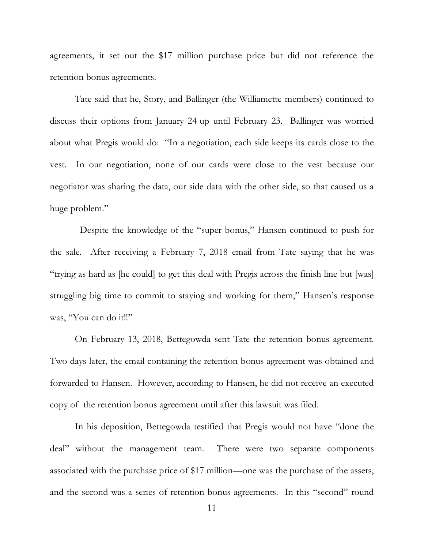agreements, it set out the \$17 million purchase price but did not reference the retention bonus agreements.

Tate said that he, Story, and Ballinger (the Williamette members) continued to discuss their options from January 24 up until February 23. Ballinger was worried about what Pregis would do: "In a negotiation, each side keeps its cards close to the vest. In our negotiation, none of our cards were close to the vest because our negotiator was sharing the data, our side data with the other side, so that caused us a huge problem."

 Despite the knowledge of the "super bonus," Hansen continued to push for the sale. After receiving a February 7, 2018 email from Tate saying that he was "trying as hard as [he could] to get this deal with Pregis across the finish line but [was] struggling big time to commit to staying and working for them," Hansen's response was, "You can do it!!"

On February 13, 2018, Bettegowda sent Tate the retention bonus agreement. Two days later, the email containing the retention bonus agreement was obtained and forwarded to Hansen. However, according to Hansen, he did not receive an executed copy of the retention bonus agreement until after this lawsuit was filed.

In his deposition, Bettegowda testified that Pregis would not have "done the deal" without the management team. There were two separate components associated with the purchase price of \$17 million—one was the purchase of the assets, and the second was a series of retention bonus agreements. In this "second" round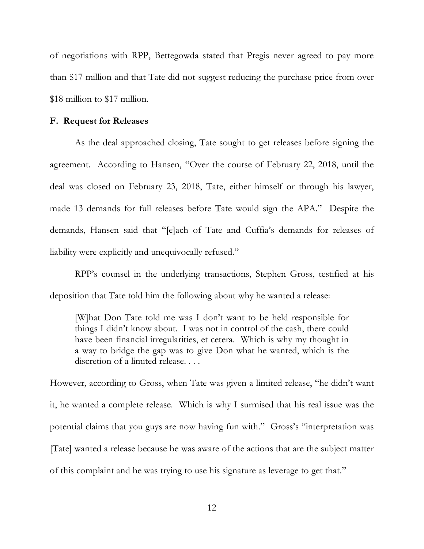of negotiations with RPP, Bettegowda stated that Pregis never agreed to pay more than \$17 million and that Tate did not suggest reducing the purchase price from over \$18 million to \$17 million.

## **F. Request for Releases**

As the deal approached closing, Tate sought to get releases before signing the agreement. According to Hansen, "Over the course of February 22, 2018, until the deal was closed on February 23, 2018, Tate, either himself or through his lawyer, made 13 demands for full releases before Tate would sign the APA." Despite the demands, Hansen said that "[e]ach of Tate and Cuffia's demands for releases of liability were explicitly and unequivocally refused."

RPP's counsel in the underlying transactions, Stephen Gross, testified at his deposition that Tate told him the following about why he wanted a release:

[W]hat Don Tate told me was I don't want to be held responsible for things I didn't know about. I was not in control of the cash, there could have been financial irregularities, et cetera. Which is why my thought in a way to bridge the gap was to give Don what he wanted, which is the discretion of a limited release. . . .

However, according to Gross, when Tate was given a limited release, "he didn't want it, he wanted a complete release. Which is why I surmised that his real issue was the potential claims that you guys are now having fun with." Gross's "interpretation was [Tate] wanted a release because he was aware of the actions that are the subject matter of this complaint and he was trying to use his signature as leverage to get that."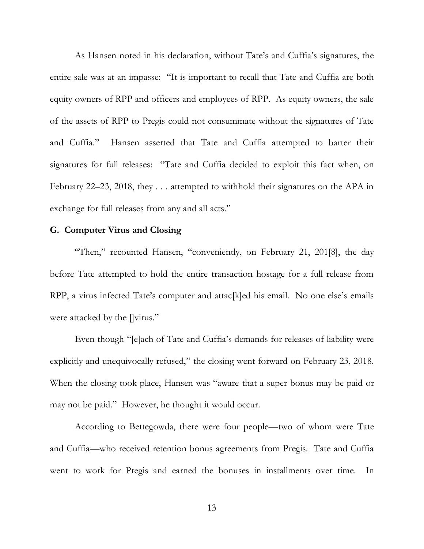As Hansen noted in his declaration, without Tate's and Cuffia's signatures, the entire sale was at an impasse: "It is important to recall that Tate and Cuffia are both equity owners of RPP and officers and employees of RPP. As equity owners, the sale of the assets of RPP to Pregis could not consummate without the signatures of Tate and Cuffia." Hansen asserted that Tate and Cuffia attempted to barter their signatures for full releases: "Tate and Cuffia decided to exploit this fact when, on February 22–23, 2018, they . . . attempted to withhold their signatures on the APA in exchange for full releases from any and all acts."

## **G. Computer Virus and Closing**

"Then," recounted Hansen, "conveniently, on February 21, 201[8], the day before Tate attempted to hold the entire transaction hostage for a full release from RPP, a virus infected Tate's computer and attac[k]ed his email. No one else's emails were attacked by the []virus."

Even though "[e]ach of Tate and Cuffia's demands for releases of liability were explicitly and unequivocally refused," the closing went forward on February 23, 2018. When the closing took place, Hansen was "aware that a super bonus may be paid or may not be paid." However, he thought it would occur.

According to Bettegowda, there were four people—two of whom were Tate and Cuffia—who received retention bonus agreements from Pregis. Tate and Cuffia went to work for Pregis and earned the bonuses in installments over time. In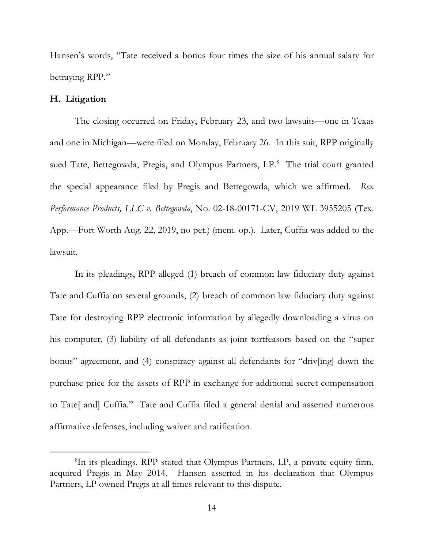Hansen's words, "Tate received a bonus four times the size of his annual salary for betraying RPP."

## **H. Litigation**

The closing occurred on Friday, February 23, and two lawsuits—one in Texas and one in Michigan—were filed on Monday, February 26. In this suit, RPP originally sued Tate, Bettegowda, Pregis, and Olympus Partners, LP.<sup>8</sup> The trial court granted the special appearance filed by Pregis and Bettegowda, which we affirmed. *Rex Performance Products, LLC v. Bettegowda*, No. 02-18-00171-CV, 2019 WL 3955205 (Tex. App.—Fort Worth Aug. 22, 2019, no pet.) (mem. op.). Later, Cuffia was added to the lawsuit.

In its pleadings, RPP alleged (1) breach of common law fiduciary duty against Tate and Cuffia on several grounds, (2) breach of common law fiduciary duty against Tate for destroying RPP electronic information by allegedly downloading a virus on his computer, (3) liability of all defendants as joint tortfeasors based on the "super bonus" agreement, and (4) conspiracy against all defendants for "driv[ing] down the purchase price for the assets of RPP in exchange for additional secret compensation to Tate[ and] Cuffia." Tate and Cuffia filed a general denial and asserted numerous affirmative defenses, including waiver and ratification.

<sup>8</sup> In its pleadings, RPP stated that Olympus Partners, LP, a private equity firm, acquired Pregis in May 2014. Hansen asserted in his declaration that Olympus Partners, LP owned Pregis at all times relevant to this dispute.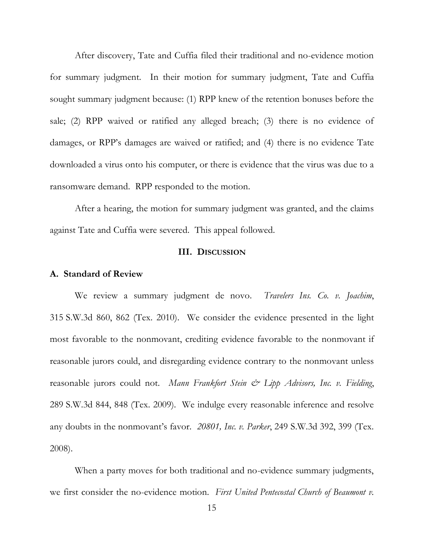After discovery, Tate and Cuffia filed their traditional and no-evidence motion for summary judgment. In their motion for summary judgment, Tate and Cuffia sought summary judgment because: (1) RPP knew of the retention bonuses before the sale; (2) RPP waived or ratified any alleged breach; (3) there is no evidence of damages, or RPP's damages are waived or ratified; and (4) there is no evidence Tate downloaded a virus onto his computer, or there is evidence that the virus was due to a ransomware demand. RPP responded to the motion.

After a hearing, the motion for summary judgment was granted, and the claims against Tate and Cuffia were severed. This appeal followed.

## **III. DISCUSSION**

## **A. Standard of Review**

We review a summary judgment de novo. *Travelers Ins. Co. v. Joachim*, 315 S.W.3d 860, 862 (Tex. 2010). We consider the evidence presented in the light most favorable to the nonmovant, crediting evidence favorable to the nonmovant if reasonable jurors could, and disregarding evidence contrary to the nonmovant unless reasonable jurors could not. *Mann Frankfort Stein & Lipp Advisors*, Inc. v. Fielding, 289 S.W.3d 844, 848 (Tex. 2009). We indulge every reasonable inference and resolve any doubts in the nonmovant's favor. *20801, Inc. v. Parker*, 249 S.W.3d 392, 399 (Tex. 2008).

When a party moves for both traditional and no-evidence summary judgments, we first consider the no-evidence motion. *First United Pentecostal Church of Beaumont v.*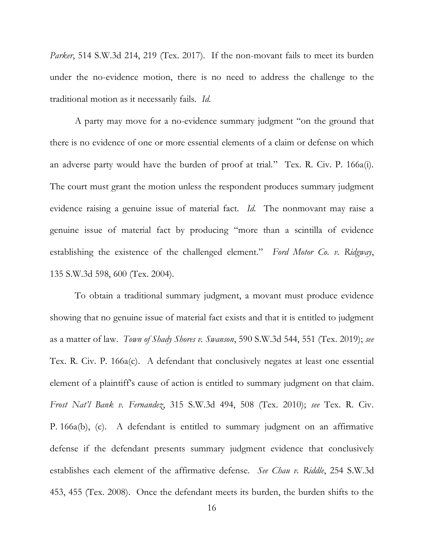*Parker*, 514 S.W.3d 214, 219 (Tex. 2017). If the non-movant fails to meet its burden under the no-evidence motion, there is no need to address the challenge to the traditional motion as it necessarily fails. *Id.*

A party may move for a no-evidence summary judgment "on the ground that there is no evidence of one or more essential elements of a claim or defense on which an adverse party would have the burden of proof at trial." Tex. R. Civ. P. 166a(i). The court must grant the motion unless the respondent produces summary judgment evidence raising a genuine issue of material fact. *Id.* The nonmovant may raise a genuine issue of material fact by producing "more than a scintilla of evidence establishing the existence of the challenged element." *Ford Motor Co. v. Ridgway*, 135 S.W.3d 598, 600 (Tex. 2004).

To obtain a traditional summary judgment, a movant must produce evidence showing that no genuine issue of material fact exists and that it is entitled to judgment as a matter of law. *Town of Shady Shores v. Swanson*, 590 S.W.3d 544, 551 (Tex. 2019); *see* Tex. R. Civ. P. 166a(c). A defendant that conclusively negates at least one essential element of a plaintiff's cause of action is entitled to summary judgment on that claim. *Frost Nat'l Bank v. Fernandez*, 315 S.W.3d 494, 508 (Tex. 2010); *see* Tex. R. Civ. P. 166a(b), (c). A defendant is entitled to summary judgment on an affirmative defense if the defendant presents summary judgment evidence that conclusively establishes each element of the affirmative defense. *See Chau v. Riddle*, 254 S.W.3d 453, 455 (Tex. 2008). Once the defendant meets its burden, the burden shifts to the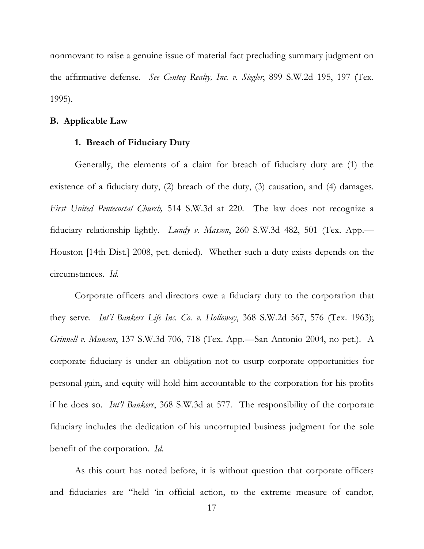nonmovant to raise a genuine issue of material fact precluding summary judgment on the affirmative defense. *See Centeq Realty, Inc. v. Siegler*, 899 S.W.2d 195, 197 (Tex. 1995).

## **B. Applicable Law**

## **1. Breach of Fiduciary Duty**

Generally, the elements of a claim for breach of fiduciary duty are (1) the existence of a fiduciary duty, (2) breach of the duty, (3) causation, and (4) damages. *First United Pentecostal Church,* 514 S.W.3d at 220. The law does not recognize a fiduciary relationship lightly. *Lundy v. Masson*, 260 S.W.3d 482, 501 (Tex. App.— Houston [14th Dist.] 2008, pet. denied). Whether such a duty exists depends on the circumstances. *Id.*

Corporate officers and directors owe a fiduciary duty to the corporation that they serve. *Int'l Bankers Life Ins. Co. v. Holloway*, 368 S.W.2d 567, 576 (Tex. 1963); *Grinnell v. Munson*, 137 S.W.3d 706, 718 (Tex. App.—San Antonio 2004, no pet.). A corporate fiduciary is under an obligation not to usurp corporate opportunities for personal gain, and equity will hold him accountable to the corporation for his profits if he does so. *Int'l Bankers*, 368 S.W.3d at 577. The responsibility of the corporate fiduciary includes the dedication of his uncorrupted business judgment for the sole benefit of the corporation. *Id.*

As this court has noted before, it is without question that corporate officers and fiduciaries are "held 'in official action, to the extreme measure of candor,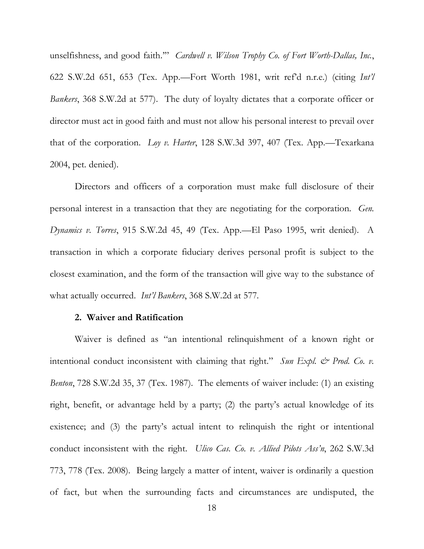unselfishness, and good faith.'" *Cardwell v. Wilson Trophy Co. of Fort Worth-Dallas, Inc.*, 622 S.W.2d 651, 653 (Tex. App.—Fort Worth 1981, writ ref'd n.r.e.) (citing *Int'l Bankers*, 368 S.W.2d at 577). The duty of loyalty dictates that a corporate officer or director must act in good faith and must not allow his personal interest to prevail over that of the corporation. *Loy v. Harter*, 128 S.W.3d 397, 407 (Tex. App.—Texarkana 2004, pet. denied).

Directors and officers of a corporation must make full disclosure of their personal interest in a transaction that they are negotiating for the corporation. *Gen. Dynamics v. Torres*, 915 S.W.2d 45, 49 (Tex. App.—El Paso 1995, writ denied). A transaction in which a corporate fiduciary derives personal profit is subject to the closest examination, and the form of the transaction will give way to the substance of what actually occurred. *Int'l Bankers*, 368 S.W.2d at 577*.*

## **2. Waiver and Ratification**

Waiver is defined as "an intentional relinquishment of a known right or intentional conduct inconsistent with claiming that right." Sun Expl.  $\mathcal{Q}$  Prod. Co. v. *Benton*, 728 S.W.2d 35, 37 (Tex. 1987). The elements of waiver include: (1) an existing right, benefit, or advantage held by a party; (2) the party's actual knowledge of its existence; and (3) the party's actual intent to relinquish the right or intentional conduct inconsistent with the right. *Ulico Cas. Co. v. Allied Pilots Ass'n*, 262 S.W.3d 773, 778 (Tex. 2008). Being largely a matter of intent, waiver is ordinarily a question of fact, but when the surrounding facts and circumstances are undisputed, the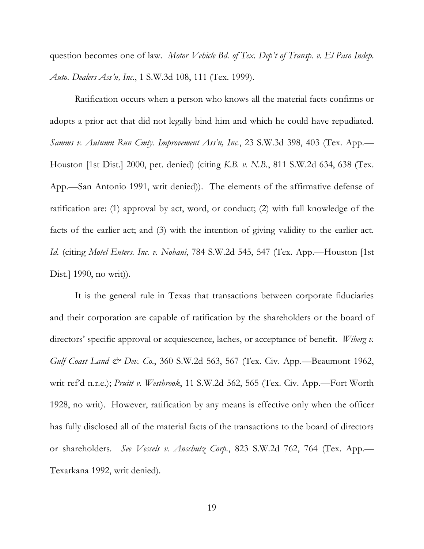question becomes one of law. *Motor Vehicle Bd. of Tex. Dep't of Transp. v. El Paso Indep. Auto. Dealers Ass'n, Inc.*, 1 S.W.3d 108, 111 (Tex. 1999).

Ratification occurs when a person who knows all the material facts confirms or adopts a prior act that did not legally bind him and which he could have repudiated. *Samms v. Autumn Run Cmty. Improvement Ass'n, Inc.*, 23 S.W.3d 398, 403 (Tex. App.— Houston [1st Dist.] 2000, pet. denied) (citing *K.B. v. N.B.*, 811 S.W.2d 634, 638 (Tex. App.—San Antonio 1991, writ denied)). The elements of the affirmative defense of ratification are: (1) approval by act, word, or conduct; (2) with full knowledge of the facts of the earlier act; and (3) with the intention of giving validity to the earlier act. *Id.* (citing *Motel Enters. Inc. v. Nobani*, 784 S.W.2d 545, 547 (Tex. App.—Houston [1st Dist.] 1990, no writ)).

It is the general rule in Texas that transactions between corporate fiduciaries and their corporation are capable of ratification by the shareholders or the board of directors' specific approval or acquiescence, laches, or acceptance of benefit. *Wiberg v. Gulf Coast Land & Dev. Co.*, 360 S.W.2d 563, 567 (Tex. Civ. App.—Beaumont 1962, writ ref'd n.r.e.); *Pruitt v. Westbrook*, 11 S.W.2d 562, 565 (Tex. Civ. App.—Fort Worth 1928, no writ). However, ratification by any means is effective only when the officer has fully disclosed all of the material facts of the transactions to the board of directors or shareholders. *See Vessels v. Anschutz Corp.*, 823 S.W.2d 762, 764 (Tex. App.— Texarkana 1992, writ denied).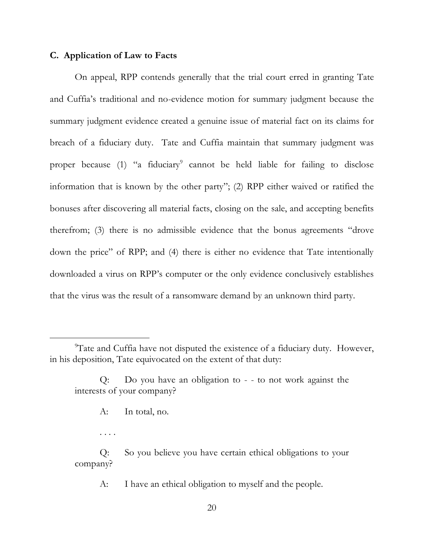## **C. Application of Law to Facts**

On appeal, RPP contends generally that the trial court erred in granting Tate and Cuffia's traditional and no-evidence motion for summary judgment because the summary judgment evidence created a genuine issue of material fact on its claims for breach of a fiduciary duty. Tate and Cuffia maintain that summary judgment was proper because (1) "a fiduciary<sup>9</sup> cannot be held liable for failing to disclose information that is known by the other party"; (2) RPP either waived or ratified the bonuses after discovering all material facts, closing on the sale, and accepting benefits therefrom; (3) there is no admissible evidence that the bonus agreements "drove down the price" of RPP; and (4) there is either no evidence that Tate intentionally downloaded a virus on RPP's computer or the only evidence conclusively establishes that the virus was the result of a ransomware demand by an unknown third party.

. . . .

Q: So you believe you have certain ethical obligations to your company?

A: I have an ethical obligation to myself and the people.

<sup>&</sup>lt;sup>9</sup>Tate and Cuffia have not disputed the existence of a fiduciary duty. However, in his deposition, Tate equivocated on the extent of that duty:

Q: Do you have an obligation to - - to not work against the interests of your company?

A: In total, no.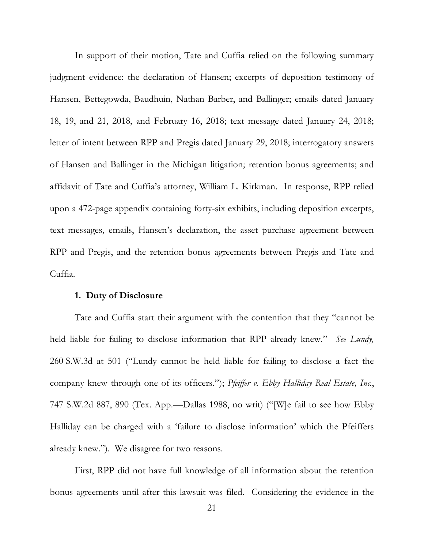In support of their motion, Tate and Cuffia relied on the following summary judgment evidence: the declaration of Hansen; excerpts of deposition testimony of Hansen, Bettegowda, Baudhuin, Nathan Barber, and Ballinger; emails dated January 18, 19, and 21, 2018, and February 16, 2018; text message dated January 24, 2018; letter of intent between RPP and Pregis dated January 29, 2018; interrogatory answers of Hansen and Ballinger in the Michigan litigation; retention bonus agreements; and affidavit of Tate and Cuffia's attorney, William L. Kirkman. In response, RPP relied upon a 472-page appendix containing forty-six exhibits, including deposition excerpts, text messages, emails, Hansen's declaration, the asset purchase agreement between RPP and Pregis, and the retention bonus agreements between Pregis and Tate and Cuffia.

#### **1. Duty of Disclosure**

Tate and Cuffia start their argument with the contention that they "cannot be held liable for failing to disclose information that RPP already knew." *See Lundy,*  260 S.W.3d at 501 ("Lundy cannot be held liable for failing to disclose a fact the company knew through one of its officers."); *Pfeiffer v. Ebby Halliday Real Estate, Inc.*, 747 S.W.2d 887, 890 (Tex. App.—Dallas 1988, no writ) ("[W]e fail to see how Ebby Halliday can be charged with a 'failure to disclose information' which the Pfeiffers already knew."). We disagree for two reasons.

First, RPP did not have full knowledge of all information about the retention bonus agreements until after this lawsuit was filed. Considering the evidence in the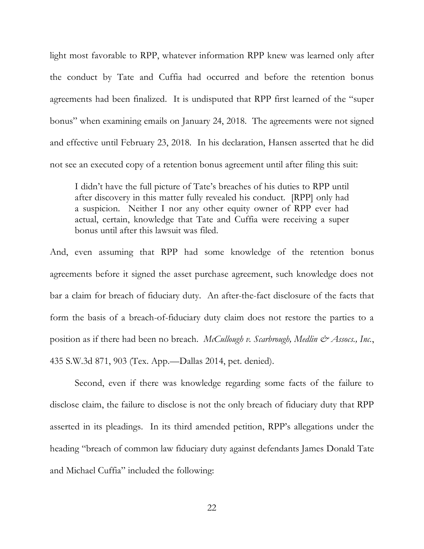light most favorable to RPP, whatever information RPP knew was learned only after the conduct by Tate and Cuffia had occurred and before the retention bonus agreements had been finalized. It is undisputed that RPP first learned of the "super bonus" when examining emails on January 24, 2018. The agreements were not signed and effective until February 23, 2018. In his declaration, Hansen asserted that he did not see an executed copy of a retention bonus agreement until after filing this suit:

I didn't have the full picture of Tate's breaches of his duties to RPP until after discovery in this matter fully revealed his conduct. [RPP] only had a suspicion. Neither I nor any other equity owner of RPP ever had actual, certain, knowledge that Tate and Cuffia were receiving a super bonus until after this lawsuit was filed.

And, even assuming that RPP had some knowledge of the retention bonus agreements before it signed the asset purchase agreement, such knowledge does not bar a claim for breach of fiduciary duty. An after-the-fact disclosure of the facts that form the basis of a breach-of-fiduciary duty claim does not restore the parties to a position as if there had been no breach. *McCullough v. Scarbrough, Medlin & Assocs., Inc.*, 435 S.W.3d 871, 903 (Tex. App.—Dallas 2014, pet. denied).

Second, even if there was knowledge regarding some facts of the failure to disclose claim, the failure to disclose is not the only breach of fiduciary duty that RPP asserted in its pleadings. In its third amended petition, RPP's allegations under the heading "breach of common law fiduciary duty against defendants James Donald Tate and Michael Cuffia" included the following: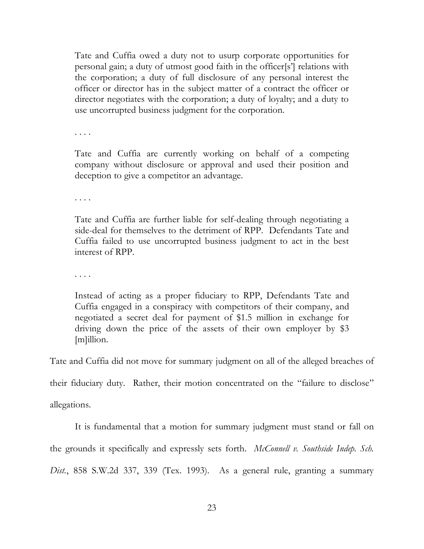Tate and Cuffia owed a duty not to usurp corporate opportunities for personal gain; a duty of utmost good faith in the officer[s'] relations with the corporation; a duty of full disclosure of any personal interest the officer or director has in the subject matter of a contract the officer or director negotiates with the corporation; a duty of loyalty; and a duty to use uncorrupted business judgment for the corporation.

. . . .

Tate and Cuffia are currently working on behalf of a competing company without disclosure or approval and used their position and deception to give a competitor an advantage.

. . . .

Tate and Cuffia are further liable for self-dealing through negotiating a side-deal for themselves to the detriment of RPP. Defendants Tate and Cuffia failed to use uncorrupted business judgment to act in the best interest of RPP.

. . . .

Instead of acting as a proper fiduciary to RPP, Defendants Tate and Cuffia engaged in a conspiracy with competitors of their company, and negotiated a secret deal for payment of \$1.5 million in exchange for driving down the price of the assets of their own employer by \$3 [m]illion.

Tate and Cuffia did not move for summary judgment on all of the alleged breaches of

their fiduciary duty. Rather, their motion concentrated on the "failure to disclose"

allegations.

It is fundamental that a motion for summary judgment must stand or fall on

the grounds it specifically and expressly sets forth. *McConnell v. Southside Indep. Sch.* 

*Dist.*, 858 S.W.2d 337, 339 (Tex. 1993). As a general rule, granting a summary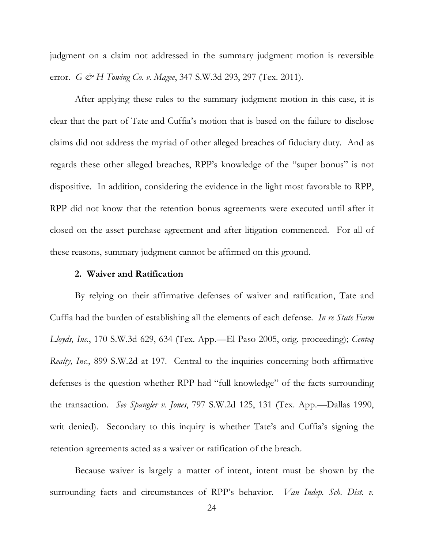judgment on a claim not addressed in the summary judgment motion is reversible error. *G* & *H Towing Co. v. Magee*, 347 S.W.3d 293, 297 (Tex. 2011).

After applying these rules to the summary judgment motion in this case, it is clear that the part of Tate and Cuffia's motion that is based on the failure to disclose claims did not address the myriad of other alleged breaches of fiduciary duty. And as regards these other alleged breaches, RPP's knowledge of the "super bonus" is not dispositive. In addition, considering the evidence in the light most favorable to RPP, RPP did not know that the retention bonus agreements were executed until after it closed on the asset purchase agreement and after litigation commenced. For all of these reasons, summary judgment cannot be affirmed on this ground.

## **2. Waiver and Ratification**

By relying on their affirmative defenses of waiver and ratification, Tate and Cuffia had the burden of establishing all the elements of each defense. *In re State Farm Lloyds, Inc.*, 170 S.W.3d 629, 634 (Tex. App.—El Paso 2005, orig. proceeding); *Centeq Realty, Inc.*, 899 S.W.2d at 197. Central to the inquiries concerning both affirmative defenses is the question whether RPP had "full knowledge" of the facts surrounding the transaction. *See Spangler v. Jones*, 797 S.W.2d 125, 131 (Tex. App.—Dallas 1990, writ denied). Secondary to this inquiry is whether Tate's and Cuffia's signing the retention agreements acted as a waiver or ratification of the breach.

Because waiver is largely a matter of intent, intent must be shown by the surrounding facts and circumstances of RPP's behavior. *Van Indep. Sch. Dist. v.*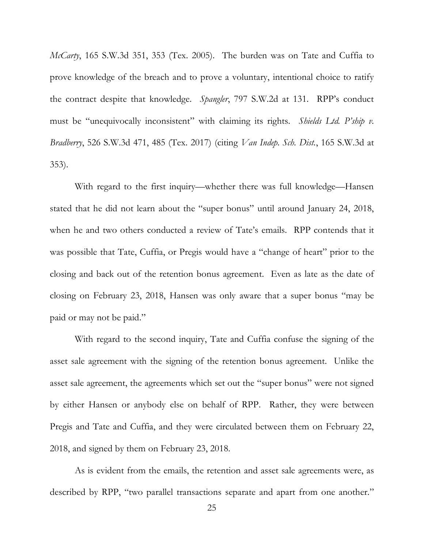*McCarty*, 165 S.W.3d 351, 353 (Tex. 2005). The burden was on Tate and Cuffia to prove knowledge of the breach and to prove a voluntary, intentional choice to ratify the contract despite that knowledge. *Spangler*, 797 S.W.2d at 131. RPP's conduct must be "unequivocally inconsistent" with claiming its rights. *Shields Ltd. P'ship v. Bradberry*, 526 S.W.3d 471, 485 (Tex. 2017) (citing *Van Indep. Sch. Dist.*, 165 S.W.3d at 353).

With regard to the first inquiry—whether there was full knowledge—Hansen stated that he did not learn about the "super bonus" until around January 24, 2018, when he and two others conducted a review of Tate's emails. RPP contends that it was possible that Tate, Cuffia, or Pregis would have a "change of heart" prior to the closing and back out of the retention bonus agreement. Even as late as the date of closing on February 23, 2018, Hansen was only aware that a super bonus "may be paid or may not be paid."

With regard to the second inquiry, Tate and Cuffia confuse the signing of the asset sale agreement with the signing of the retention bonus agreement. Unlike the asset sale agreement, the agreements which set out the "super bonus" were not signed by either Hansen or anybody else on behalf of RPP. Rather, they were between Pregis and Tate and Cuffia, and they were circulated between them on February 22, 2018, and signed by them on February 23, 2018.

As is evident from the emails, the retention and asset sale agreements were, as described by RPP, "two parallel transactions separate and apart from one another."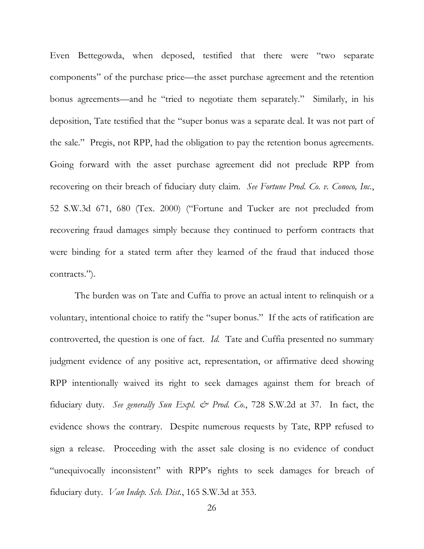Even Bettegowda, when deposed, testified that there were "two separate components" of the purchase price—the asset purchase agreement and the retention bonus agreements—and he "tried to negotiate them separately." Similarly, in his deposition, Tate testified that the "super bonus was a separate deal. It was not part of the sale." Pregis, not RPP, had the obligation to pay the retention bonus agreements. Going forward with the asset purchase agreement did not preclude RPP from recovering on their breach of fiduciary duty claim. *See Fortune Prod. Co. v. Conoco, Inc.*, 52 S.W.3d 671, 680 (Tex. 2000) ("Fortune and Tucker are not precluded from recovering fraud damages simply because they continued to perform contracts that were binding for a stated term after they learned of the fraud that induced those contracts.").

The burden was on Tate and Cuffia to prove an actual intent to relinquish or a voluntary, intentional choice to ratify the "super bonus." If the acts of ratification are controverted, the question is one of fact. *Id.* Tate and Cuffia presented no summary judgment evidence of any positive act, representation, or affirmative deed showing RPP intentionally waived its right to seek damages against them for breach of fiduciary duty. *See generally Sun Expl. & Prod. Co.*, 728 S.W.2d at 37. In fact, the evidence shows the contrary. Despite numerous requests by Tate, RPP refused to sign a release. Proceeding with the asset sale closing is no evidence of conduct "unequivocally inconsistent" with RPP's rights to seek damages for breach of fiduciary duty. *Van Indep. Sch. Dist.*, 165 S.W.3d at 353.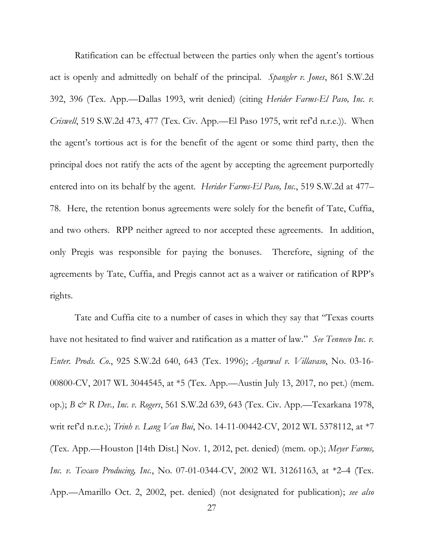Ratification can be effectual between the parties only when the agent's tortious act is openly and admittedly on behalf of the principal. *Spangler v. Jones*, 861 S.W.2d 392, 396 (Tex. App.—Dallas 1993, writ denied) (citing *Herider Farms-El Paso, Inc. v. Criswell*, 519 S.W.2d 473, 477 (Tex. Civ. App.—El Paso 1975, writ ref'd n.r.e.)). When the agent's tortious act is for the benefit of the agent or some third party, then the principal does not ratify the acts of the agent by accepting the agreement purportedly entered into on its behalf by the agent. *Herider Farms-El Paso, Inc.*, 519 S.W.2d at 477– 78. Here, the retention bonus agreements were solely for the benefit of Tate, Cuffia, and two others. RPP neither agreed to nor accepted these agreements. In addition, only Pregis was responsible for paying the bonuses. Therefore, signing of the agreements by Tate, Cuffia, and Pregis cannot act as a waiver or ratification of RPP's rights.

Tate and Cuffia cite to a number of cases in which they say that "Texas courts have not hesitated to find waiver and ratification as a matter of law." *See Tenneco Inc. v. Enter. Prods. Co.*, 925 S.W.2d 640, 643 (Tex. 1996); *Agarwal v. Villavaso*, No. 03-16- 00800-CV, 2017 WL 3044545, at \*5 (Tex. App.—Austin July 13, 2017, no pet.) (mem. op.); *B & R Dev., Inc. v. Rogers*, 561 S.W.2d 639, 643 (Tex. Civ. App.—Texarkana 1978, writ ref'd n.r.e.); *Trinh v. Lang Van Bui*, No. 14-11-00442-CV, 2012 WL 5378112, at \*7 (Tex. App.—Houston [14th Dist.] Nov. 1, 2012, pet. denied) (mem. op.); *Meyer Farms, Inc. v. Texaco Producing, Inc.*, No. 07-01-0344-CV, 2002 WL 31261163, at \*2–4 (Tex. App.—Amarillo Oct. 2, 2002, pet. denied) (not designated for publication); *see also*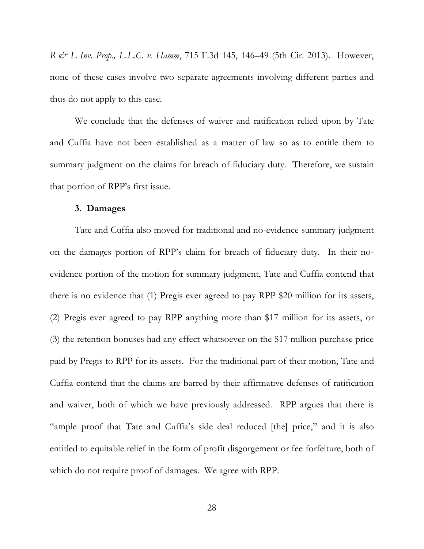*R & L Inv. Prop., L.L.C. v. Hamm*, 715 F.3d 145, 146–49 (5th Cir. 2013). However, none of these cases involve two separate agreements involving different parties and thus do not apply to this case.

We conclude that the defenses of waiver and ratification relied upon by Tate and Cuffia have not been established as a matter of law so as to entitle them to summary judgment on the claims for breach of fiduciary duty. Therefore, we sustain that portion of RPP's first issue.

#### **3. Damages**

Tate and Cuffia also moved for traditional and no-evidence summary judgment on the damages portion of RPP's claim for breach of fiduciary duty. In their noevidence portion of the motion for summary judgment, Tate and Cuffia contend that there is no evidence that (1) Pregis ever agreed to pay RPP \$20 million for its assets, (2) Pregis ever agreed to pay RPP anything more than \$17 million for its assets, or (3) the retention bonuses had any effect whatsoever on the \$17 million purchase price paid by Pregis to RPP for its assets. For the traditional part of their motion, Tate and Cuffia contend that the claims are barred by their affirmative defenses of ratification and waiver, both of which we have previously addressed. RPP argues that there is "ample proof that Tate and Cuffia's side deal reduced [the] price," and it is also entitled to equitable relief in the form of profit disgorgement or fee forfeiture, both of which do not require proof of damages. We agree with RPP.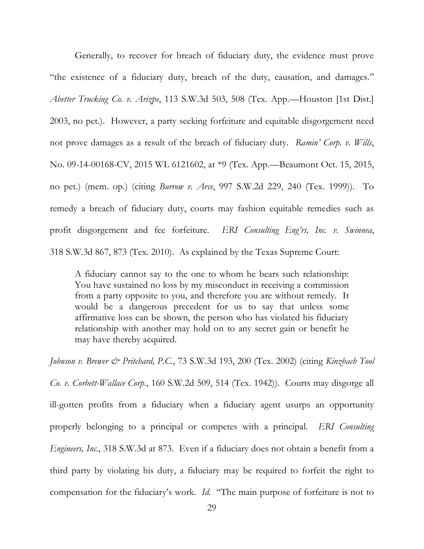Generally, to recover for breach of fiduciary duty, the evidence must prove "the existence of a fiduciary duty, breach of the duty, causation, and damages." *Abetter Trucking Co. v. Arizpe*, 113 S.W.3d 503, 508 (Tex. App.—Houston [1st Dist.] 2003, no pet.). However, a party seeking forfeiture and equitable disgorgement need not prove damages as a result of the breach of fiduciary duty. *Ramin' Corp. v. Wills*, No. 09-14-00168-CV, 2015 WL 6121602, at \*9 (Tex. App.—Beaumont Oct. 15, 2015, no pet.) (mem. op.) (citing *Burrow v. Arce*, 997 S.W.2d 229, 240 (Tex. 1999)). To remedy a breach of fiduciary duty, courts may fashion equitable remedies such as profit disgorgement and fee forfeiture. *ERI Consulting Eng'rs, Inc. v. Swinnea*, 318 S.W.3d 867, 873 (Tex. 2010). As explained by the Texas Supreme Court:

A fiduciary cannot say to the one to whom he bears such relationship: You have sustained no loss by my misconduct in receiving a commission from a party opposite to you, and therefore you are without remedy. It would be a dangerous precedent for us to say that unless some affirmative loss can be shown, the person who has violated his fiduciary relationship with another may hold on to any secret gain or benefit he may have thereby acquired.

*Johnson v. Brewer & Pritchard, P.C.*, 73 S.W.3d 193, 200 (Tex. 2002) (citing *Kinzbach Tool Co. v. Corbett-Wallace Corp.*, 160 S.W.2d 509, 514 (Tex. 1942)). Courts may disgorge all ill-gotten profits from a fiduciary when a fiduciary agent usurps an opportunity properly belonging to a principal or competes with a principal. *ERI Consulting Engineers, Inc.*, 318 S.W.3d at 873. Even if a fiduciary does not obtain a benefit from a third party by violating his duty, a fiduciary may be required to forfeit the right to compensation for the fiduciary's work. *Id.* "The main purpose of forfeiture is not to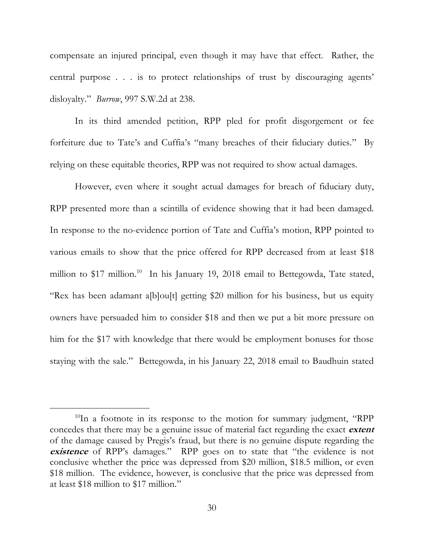compensate an injured principal, even though it may have that effect. Rather, the central purpose . . . is to protect relationships of trust by discouraging agents' disloyalty." *Burrow*, 997 S.W.2d at 238.

In its third amended petition, RPP pled for profit disgorgement or fee forfeiture due to Tate's and Cuffia's "many breaches of their fiduciary duties." By relying on these equitable theories, RPP was not required to show actual damages.

However, even where it sought actual damages for breach of fiduciary duty, RPP presented more than a scintilla of evidence showing that it had been damaged. In response to the no-evidence portion of Tate and Cuffia's motion, RPP pointed to various emails to show that the price offered for RPP decreased from at least \$18 million to \$17 million.<sup>10</sup> In his January 19, 2018 email to Bettegowda, Tate stated, "Rex has been adamant a[b]ou[t] getting \$20 million for his business, but us equity owners have persuaded him to consider \$18 and then we put a bit more pressure on him for the \$17 with knowledge that there would be employment bonuses for those staying with the sale." Bettegowda, in his January 22, 2018 email to Baudhuin stated

 $10$ In a footnote in its response to the motion for summary judgment, "RPP concedes that there may be a genuine issue of material fact regarding the exact **extent** of the damage caused by Pregis's fraud, but there is no genuine dispute regarding the **existence** of RPP's damages." RPP goes on to state that "the evidence is not conclusive whether the price was depressed from \$20 million, \$18.5 million, or even \$18 million. The evidence, however, is conclusive that the price was depressed from at least \$18 million to \$17 million."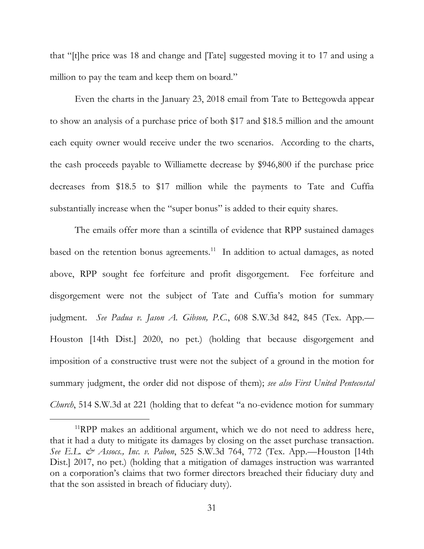that "[t]he price was 18 and change and [Tate] suggested moving it to 17 and using a million to pay the team and keep them on board."

Even the charts in the January 23, 2018 email from Tate to Bettegowda appear to show an analysis of a purchase price of both \$17 and \$18.5 million and the amount each equity owner would receive under the two scenarios. According to the charts, the cash proceeds payable to Williamette decrease by \$946,800 if the purchase price decreases from \$18.5 to \$17 million while the payments to Tate and Cuffia substantially increase when the "super bonus" is added to their equity shares.

The emails offer more than a scintilla of evidence that RPP sustained damages based on the retention bonus agreements.<sup>11</sup> In addition to actual damages, as noted above, RPP sought fee forfeiture and profit disgorgement. Fee forfeiture and disgorgement were not the subject of Tate and Cuffia's motion for summary judgment. *See Padua v. Jason A. Gibson, P.C.*, 608 S.W.3d 842, 845 (Tex. App.— Houston [14th Dist.] 2020, no pet.) (holding that because disgorgement and imposition of a constructive trust were not the subject of a ground in the motion for summary judgment, the order did not dispose of them); *see also First United Pentecostal Church*, 514 S.W.3d at 221 (holding that to defeat "a no-evidence motion for summary

 $11$ RPP makes an additional argument, which we do not need to address here, that it had a duty to mitigate its damages by closing on the asset purchase transaction. *See E.L. & Assocs., Inc. v. Pabon*, 525 S.W.3d 764, 772 (Tex. App.—Houston [14th Dist.] 2017, no pet.) (holding that a mitigation of damages instruction was warranted on a corporation's claims that two former directors breached their fiduciary duty and that the son assisted in breach of fiduciary duty).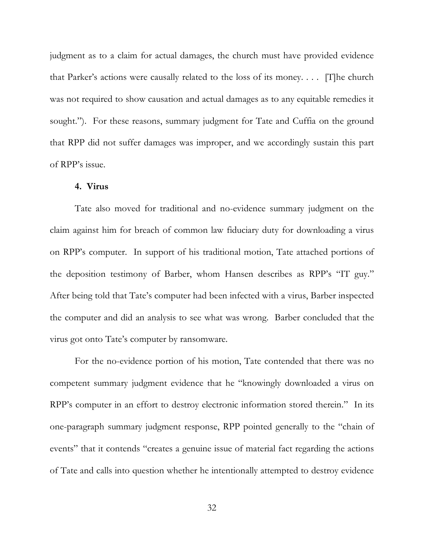judgment as to a claim for actual damages, the church must have provided evidence that Parker's actions were causally related to the loss of its money. . . . [T]he church was not required to show causation and actual damages as to any equitable remedies it sought."). For these reasons, summary judgment for Tate and Cuffia on the ground that RPP did not suffer damages was improper, and we accordingly sustain this part of RPP's issue.

## **4. Virus**

Tate also moved for traditional and no-evidence summary judgment on the claim against him for breach of common law fiduciary duty for downloading a virus on RPP's computer. In support of his traditional motion, Tate attached portions of the deposition testimony of Barber, whom Hansen describes as RPP's "IT guy." After being told that Tate's computer had been infected with a virus, Barber inspected the computer and did an analysis to see what was wrong. Barber concluded that the virus got onto Tate's computer by ransomware.

For the no-evidence portion of his motion, Tate contended that there was no competent summary judgment evidence that he "knowingly downloaded a virus on RPP's computer in an effort to destroy electronic information stored therein." In its one-paragraph summary judgment response, RPP pointed generally to the "chain of events" that it contends "creates a genuine issue of material fact regarding the actions of Tate and calls into question whether he intentionally attempted to destroy evidence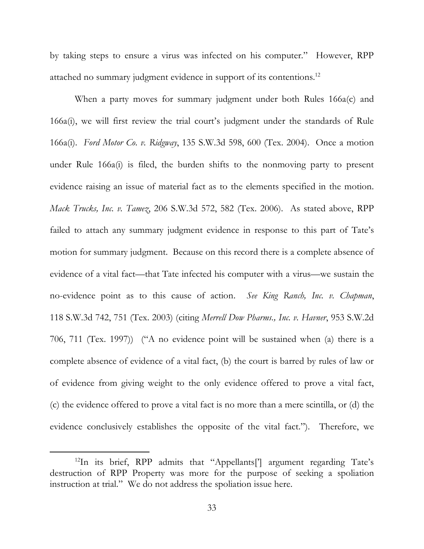by taking steps to ensure a virus was infected on his computer." However, RPP attached no summary judgment evidence in support of its contentions.<sup>12</sup>

When a party moves for summary judgment under both Rules 166a(c) and 166a(i), we will first review the trial court's judgment under the standards of Rule 166a(i). *Ford Motor Co. v. Ridgway*, 135 S.W.3d 598, 600 (Tex. 2004). Once a motion under Rule 166a(i) is filed, the burden shifts to the nonmoving party to present evidence raising an issue of material fact as to the elements specified in the motion. *Mack Trucks, Inc. v. Tamez*, 206 S.W.3d 572, 582 (Tex. 2006). As stated above, RPP failed to attach any summary judgment evidence in response to this part of Tate's motion for summary judgment. Because on this record there is a complete absence of evidence of a vital fact—that Tate infected his computer with a virus—we sustain the no-evidence point as to this cause of action. *See King Ranch, Inc. v. Chapman*, 118 S.W.3d 742, 751 (Tex. 2003) (citing *Merrell Dow Pharms., Inc. v. Havner*, 953 S.W.2d 706, 711 (Tex. 1997)) ("A no evidence point will be sustained when (a) there is a complete absence of evidence of a vital fact, (b) the court is barred by rules of law or of evidence from giving weight to the only evidence offered to prove a vital fact, (c) the evidence offered to prove a vital fact is no more than a mere scintilla, or (d) the evidence conclusively establishes the opposite of the vital fact."). Therefore, we

<sup>&</sup>lt;sup>12</sup>In its brief, RPP admits that "Appellants<sup>[']</sup> argument regarding Tate's destruction of RPP Property was more for the purpose of seeking a spoliation instruction at trial." We do not address the spoliation issue here.